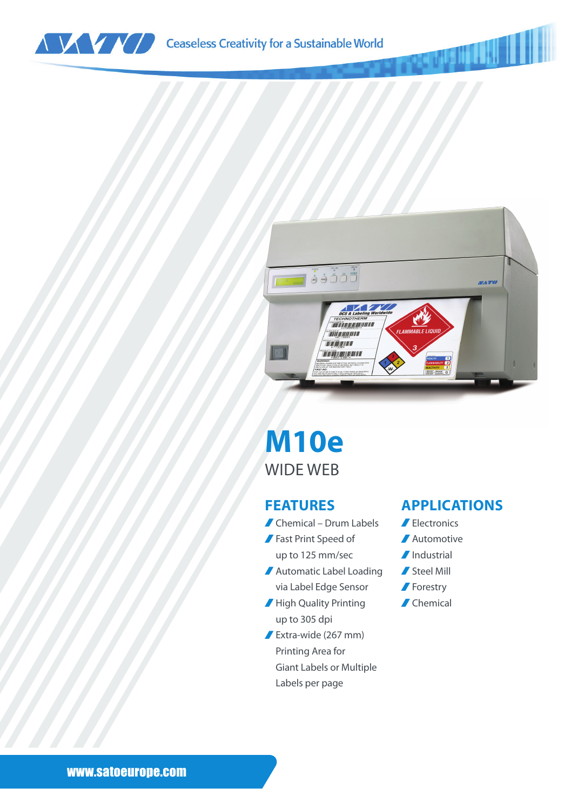



### **M10e** WIDE WEB

#### **FEATURES**

- Chemical Drum Labels
- Fast Print Speed of up to 125 mm/sec
- Automatic Label Loading via Label Edge Sensor
- High Quality Printing up to 305 dpi
- Extra-wide (267 mm) Printing Area for Giant Labels or Multiple Labels per page

#### **APPLICATIONS**

- Electronics
- **Automotive**
- *I*Industrial
- Steel Mill
- **Forestry**
- Chemical